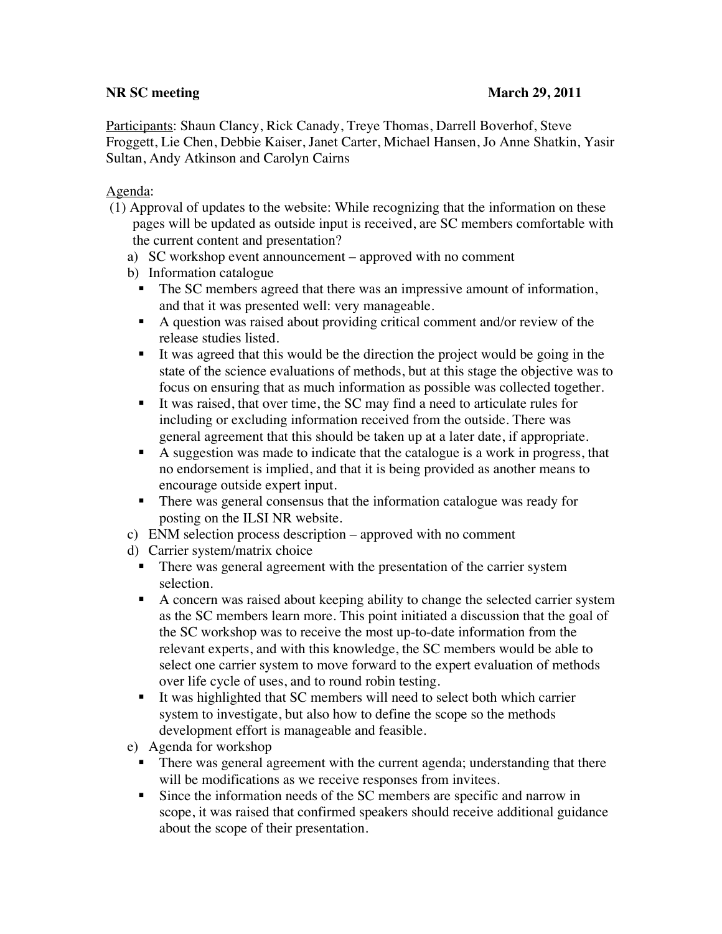## **NR SC meeting**   $\blacksquare$  **March 29, 2011**

Participants: Shaun Clancy, Rick Canady, Treye Thomas, Darrell Boverhof, Steve Froggett, Lie Chen, Debbie Kaiser, Janet Carter, Michael Hansen, Jo Anne Shatkin, Yasir Sultan, Andy Atkinson and Carolyn Cairns

## Agenda:

- (1) Approval of updates to the website: While recognizing that the information on these pages will be updated as outside input is received, are SC members comfortable with the current content and presentation?
	- a) SC workshop event announcement approved with no comment
	- b) Information catalogue
		- The SC members agreed that there was an impressive amount of information, and that it was presented well: very manageable.
		- A question was raised about providing critical comment and/or review of the release studies listed.
		- It was agreed that this would be the direction the project would be going in the state of the science evaluations of methods, but at this stage the objective was to focus on ensuring that as much information as possible was collected together.
		- It was raised, that over time, the SC may find a need to articulate rules for including or excluding information received from the outside. There was general agreement that this should be taken up at a later date, if appropriate.
		- A suggestion was made to indicate that the catalogue is a work in progress, that no endorsement is implied, and that it is being provided as another means to encourage outside expert input.
		- There was general consensus that the information catalogue was ready for posting on the ILSI NR website.
	- c) ENM selection process description approved with no comment
	- d) Carrier system/matrix choice
		- There was general agreement with the presentation of the carrier system selection.
		- A concern was raised about keeping ability to change the selected carrier system as the SC members learn more. This point initiated a discussion that the goal of the SC workshop was to receive the most up-to-date information from the relevant experts, and with this knowledge, the SC members would be able to select one carrier system to move forward to the expert evaluation of methods over life cycle of uses, and to round robin testing.
		- It was highlighted that SC members will need to select both which carrier system to investigate, but also how to define the scope so the methods development effort is manageable and feasible.
	- e) Agenda for workshop
		- **There was general agreement with the current agenda; understanding that there** will be modifications as we receive responses from invitees.
		- Since the information needs of the SC members are specific and narrow in scope, it was raised that confirmed speakers should receive additional guidance about the scope of their presentation.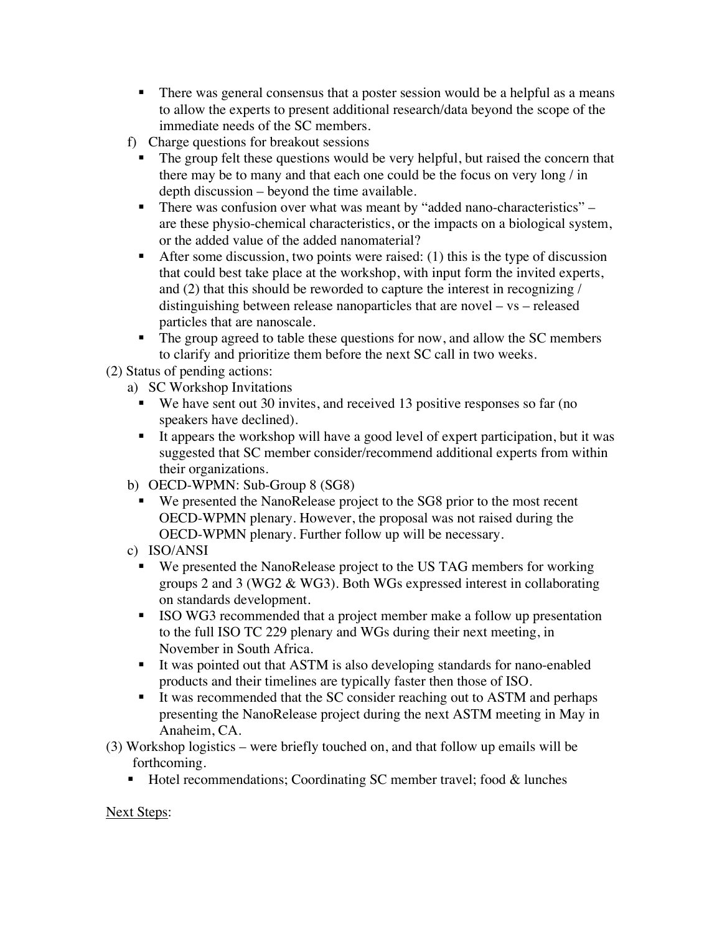- There was general consensus that a poster session would be a helpful as a means to allow the experts to present additional research/data beyond the scope of the immediate needs of the SC members.
- f) Charge questions for breakout sessions
	- The group felt these questions would be very helpful, but raised the concern that there may be to many and that each one could be the focus on very long / in depth discussion – beyond the time available.
	- There was confusion over what was meant by "added nano-characteristics" are these physio-chemical characteristics, or the impacts on a biological system, or the added value of the added nanomaterial?
	- After some discussion, two points were raised:  $(1)$  this is the type of discussion that could best take place at the workshop, with input form the invited experts, and (2) that this should be reworded to capture the interest in recognizing / distinguishing between release nanoparticles that are novel – vs – released particles that are nanoscale.
	- The group agreed to table these questions for now, and allow the SC members to clarify and prioritize them before the next SC call in two weeks.

(2) Status of pending actions:

- a) SC Workshop Invitations
	- We have sent out 30 invites, and received 13 positive responses so far (no speakers have declined).
	- It appears the workshop will have a good level of expert participation, but it was suggested that SC member consider/recommend additional experts from within their organizations.
- b) OECD-WPMN: Sub-Group 8 (SG8)
	- We presented the NanoRelease project to the SG8 prior to the most recent OECD-WPMN plenary. However, the proposal was not raised during the OECD-WPMN plenary. Further follow up will be necessary.
- c) ISO/ANSI
	- We presented the NanoRelease project to the US TAG members for working groups 2 and 3 (WG2 & WG3). Both WGs expressed interest in collaborating on standards development.
	- ISO WG3 recommended that a project member make a follow up presentation to the full ISO TC 229 plenary and WGs during their next meeting, in November in South Africa.
	- It was pointed out that ASTM is also developing standards for nano-enabled products and their timelines are typically faster then those of ISO.
	- It was recommended that the SC consider reaching out to ASTM and perhaps presenting the NanoRelease project during the next ASTM meeting in May in Anaheim, CA.
- (3) Workshop logistics were briefly touched on, and that follow up emails will be forthcoming.
	- Hotel recommendations; Coordinating SC member travel; food  $\&$  lunches

## Next Steps: